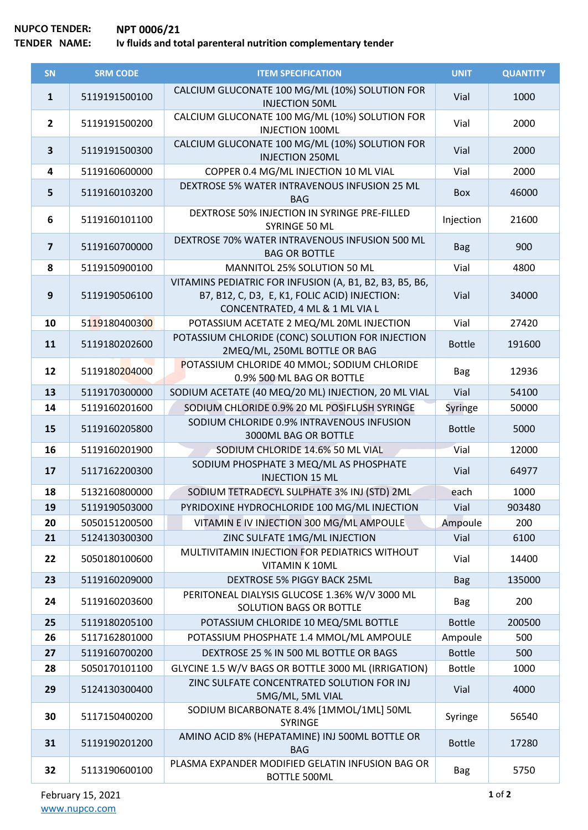## **NUPCO TENDER: NPT 0006/21 Iv fluids and total parenteral nutrition complementary tender**

| SN                      | <b>SRM CODE</b> | <b>ITEM SPECIFICATION</b>                                                                                                                   | <b>UNIT</b>   | <b>QUANTITY</b> |
|-------------------------|-----------------|---------------------------------------------------------------------------------------------------------------------------------------------|---------------|-----------------|
| $\mathbf{1}$            | 5119191500100   | CALCIUM GLUCONATE 100 MG/ML (10%) SOLUTION FOR<br><b>INJECTION 50ML</b>                                                                     | Vial          | 1000            |
| $\overline{2}$          | 5119191500200   | CALCIUM GLUCONATE 100 MG/ML (10%) SOLUTION FOR<br><b>INJECTION 100ML</b>                                                                    | Vial          | 2000            |
| $\overline{\mathbf{3}}$ | 5119191500300   | CALCIUM GLUCONATE 100 MG/ML (10%) SOLUTION FOR<br><b>INJECTION 250ML</b>                                                                    | Vial          | 2000            |
| $\overline{\mathbf{4}}$ | 5119160600000   | COPPER 0.4 MG/ML INJECTION 10 ML VIAL                                                                                                       | Vial          | 2000            |
| 5                       | 5119160103200   | DEXTROSE 5% WATER INTRAVENOUS INFUSION 25 ML<br><b>BAG</b>                                                                                  | Box           | 46000           |
| 6                       | 5119160101100   | DEXTROSE 50% INJECTION IN SYRINGE PRE-FILLED<br>SYRINGE 50 ML                                                                               | Injection     | 21600           |
| $\overline{7}$          | 5119160700000   | DEXTROSE 70% WATER INTRAVENOUS INFUSION 500 ML<br><b>BAG OR BOTTLE</b>                                                                      | <b>Bag</b>    | 900             |
| 8                       | 5119150900100   | MANNITOL 25% SOLUTION 50 ML                                                                                                                 | Vial          | 4800            |
| 9                       | 5119190506100   | VITAMINS PEDIATRIC FOR INFUSION (A, B1, B2, B3, B5, B6,<br>B7, B12, C, D3, E, K1, FOLIC ACID) INJECTION:<br>CONCENTRATED, 4 ML & 1 ML VIA L | Vial          | 34000           |
| 10                      | 5119180400300   | POTASSIUM ACETATE 2 MEQ/ML 20ML INJECTION                                                                                                   | Vial          | 27420           |
| 11                      | 5119180202600   | POTASSIUM CHLORIDE (CONC) SOLUTION FOR INJECTION<br>2MEQ/ML, 250ML BOTTLE OR BAG                                                            | <b>Bottle</b> | 191600          |
| 12                      | 5119180204000   | POTASSIUM CHLORIDE 40 MMOL; SODIUM CHLORIDE<br>0.9% 500 ML BAG OR BOTTLE                                                                    | <b>Bag</b>    | 12936           |
| 13                      | 5119170300000   | SODIUM ACETATE (40 MEQ/20 ML) INJECTION, 20 ML VIAL                                                                                         | Vial          | 54100           |
| 14                      | 5119160201600   | SODIUM CHLORIDE 0.9% 20 ML POSIFLUSH SYRINGE                                                                                                | Syringe       | 50000           |
| 15                      | 5119160205800   | SODIUM CHLORIDE 0.9% INTRAVENOUS INFUSION<br>3000ML BAG OR BOTTLE                                                                           | <b>Bottle</b> | 5000            |
| 16                      | 5119160201900   | SODIUM CHLORIDE 14.6% 50 ML VIAL                                                                                                            | Vial          | 12000           |
| 17                      | 5117162200300   | SODIUM PHOSPHATE 3 MEQ/ML AS PHOSPHATE<br><b>INJECTION 15 ML</b>                                                                            | Vial          | 64977           |
| 18                      | 5132160800000   | SODIUM TETRADECYL SULPHATE 3% INJ (STD) 2ML                                                                                                 | each          | 1000            |
| 19                      | 5119190503000   | PYRIDOXINE HYDROCHLORIDE 100 MG/ML INJECTION                                                                                                | Vial          | 903480          |
| 20                      | 5050151200500   | VITAMIN E IV INJECTION 300 MG/ML AMPOULE                                                                                                    | Ampoule       | 200             |
| 21                      | 5124130300300   | ZINC SULFATE 1MG/ML INJECTION                                                                                                               | Vial          | 6100            |
| 22                      | 5050180100600   | MULTIVITAMIN INJECTION FOR PEDIATRICS WITHOUT<br><b>VITAMIN K 10ML</b>                                                                      | Vial          | 14400           |
| 23                      | 5119160209000   | <b>DEXTROSE 5% PIGGY BACK 25ML</b>                                                                                                          | <b>Bag</b>    | 135000          |
| 24                      | 5119160203600   | PERITONEAL DIALYSIS GLUCOSE 1.36% W/V 3000 ML<br>SOLUTION BAGS OR BOTTLE                                                                    | <b>Bag</b>    | 200             |
| 25                      | 5119180205100   | POTASSIUM CHLORIDE 10 MEQ/5ML BOTTLE                                                                                                        | <b>Bottle</b> | 200500          |
| 26                      | 5117162801000   | POTASSIUM PHOSPHATE 1.4 MMOL/ML AMPOULE                                                                                                     | Ampoule       | 500             |
| 27                      | 5119160700200   | DEXTROSE 25 % IN 500 ML BOTTLE OR BAGS                                                                                                      | <b>Bottle</b> | 500             |
| 28                      | 5050170101100   | GLYCINE 1.5 W/V BAGS OR BOTTLE 3000 ML (IRRIGATION)                                                                                         | <b>Bottle</b> | 1000            |
| 29                      | 5124130300400   | ZINC SULFATE CONCENTRATED SOLUTION FOR INJ<br>5MG/ML, 5ML VIAL                                                                              | Vial          | 4000            |
| 30                      | 5117150400200   | SODIUM BICARBONATE 8.4% [1MMOL/1ML] 50ML<br>SYRINGE                                                                                         | Syringe       | 56540           |
| 31                      | 5119190201200   | AMINO ACID 8% (HEPATAMINE) INJ 500ML BOTTLE OR<br><b>BAG</b>                                                                                | <b>Bottle</b> | 17280           |
| 32                      | 5113190600100   | PLASMA EXPANDER MODIFIED GELATIN INFUSION BAG OR<br><b>BOTTLE 500ML</b>                                                                     | <b>Bag</b>    | 5750            |